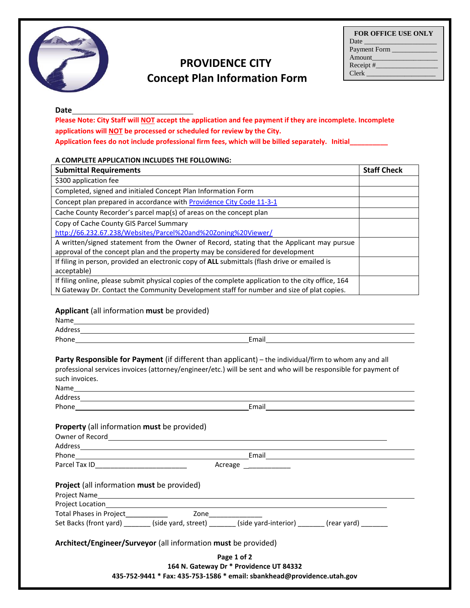

## **PROVIDENCE CITY Concept Plan Information Form**

## **Date**

**Please Note: City Staff will NOT accept the application and fee payment if they are incomplete. Incomplete applications will NOT be processed or scheduled for review by the City. Application fees do not include professional firm fees, which will be billed separately. Initial\_\_\_\_\_\_\_\_\_\_**

## **A COMPLETE APPLICATION INCLUDES THE FOLLOWING:**

| <b>Submittal Requirements</b>                                                                       | <b>Staff Check</b> |
|-----------------------------------------------------------------------------------------------------|--------------------|
| \$300 application fee                                                                               |                    |
| Completed, signed and initialed Concept Plan Information Form                                       |                    |
| Concept plan prepared in accordance with Providence City Code 11-3-1                                |                    |
| Cache County Recorder's parcel map(s) of areas on the concept plan                                  |                    |
| Copy of Cache County GIS Parcel Summary                                                             |                    |
| http://66.232.67.238/Websites/Parcel%20and%20Zoning%20Viewer/                                       |                    |
| A written/signed statement from the Owner of Record, stating that the Applicant may pursue          |                    |
| approval of the concept plan and the property may be considered for development                     |                    |
| If filing in person, provided an electronic copy of ALL submittals (flash drive or emailed is       |                    |
| acceptable)                                                                                         |                    |
| If filing online, please submit physical copies of the complete application to the city office, 164 |                    |
| N Gateway Dr. Contact the Community Development staff for number and size of plat copies.           |                    |

## **Applicant** (all information **must** be provided)

| such invoices.                                     | Party Responsible for Payment (if different than applicant) – the individual/firm to whom any and all<br>professional services invoices (attorney/engineer/etc.) will be sent and who will be responsible for payment of |
|----------------------------------------------------|--------------------------------------------------------------------------------------------------------------------------------------------------------------------------------------------------------------------------|
|                                                    |                                                                                                                                                                                                                          |
|                                                    |                                                                                                                                                                                                                          |
| <b>Property</b> (all information must be provided) |                                                                                                                                                                                                                          |
|                                                    |                                                                                                                                                                                                                          |
|                                                    |                                                                                                                                                                                                                          |
|                                                    | Acreage <b>Acreage</b>                                                                                                                                                                                                   |
| <b>Project</b> (all information must be provided)  |                                                                                                                                                                                                                          |
|                                                    |                                                                                                                                                                                                                          |
|                                                    |                                                                                                                                                                                                                          |
|                                                    |                                                                                                                                                                                                                          |
|                                                    | Set Backs (front yard) ________(side yard, street) ________(side yard-interior) _______(rear yard) _______                                                                                                               |
|                                                    | Architect/Engineer/Surveyor (all information must be provided)                                                                                                                                                           |
|                                                    | Page 1 of 2<br>164 N. Gateway Dr * Providence UT 84332<br>435-752-9441 * Fax: 435-753-1586 * email: sbankhead@providence.utah.gov                                                                                        |